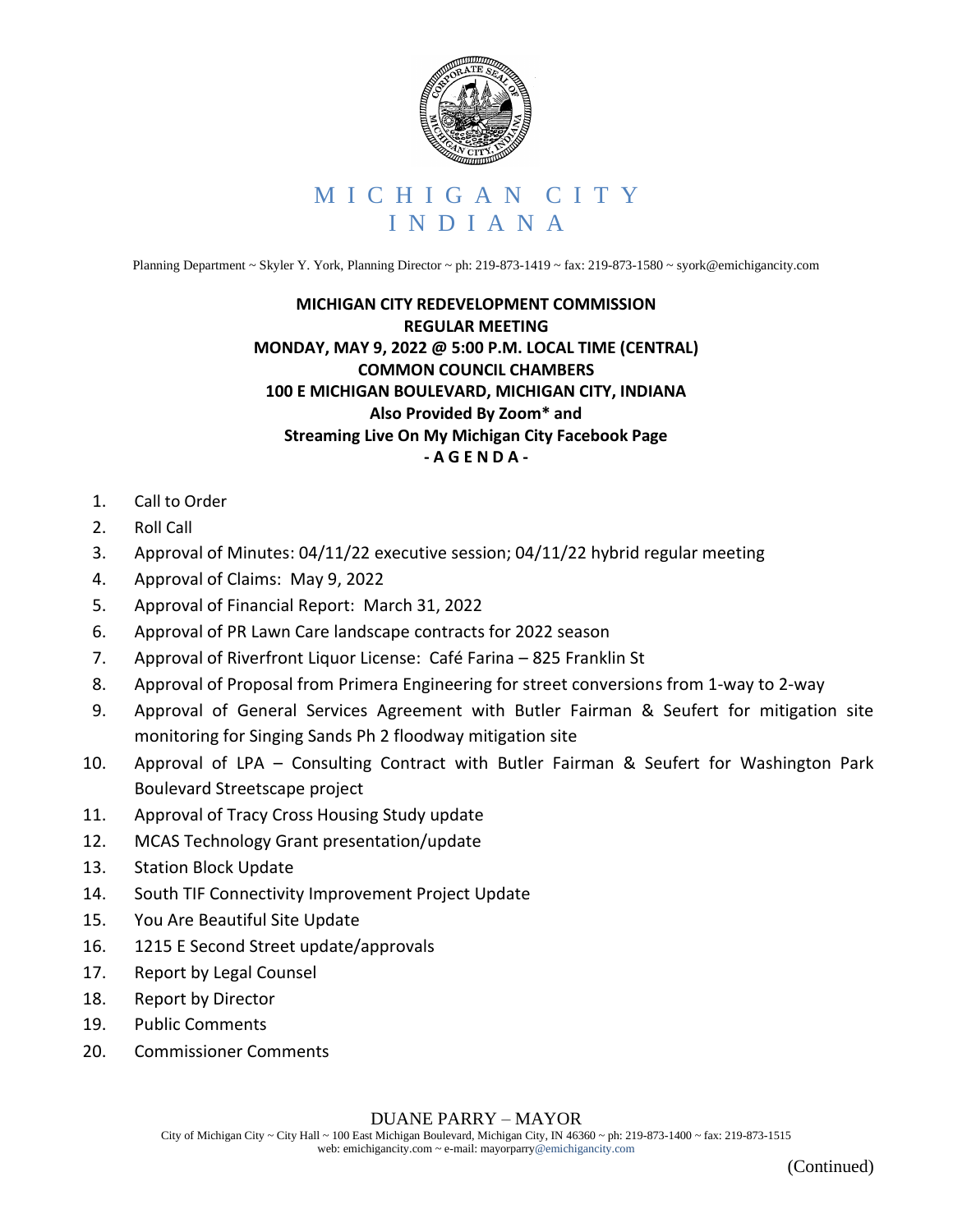

Planning Department ~ Skyler Y. York, Planning Director ~ ph: 219-873-1419 ~ fax: 219-873-1580 ~ syork@emichigancity.com

## **MICHIGAN CITY REDEVELOPMENT COMMISSION REGULAR MEETING MONDAY, MAY 9, 2022 @ 5:00 P.M. LOCAL TIME (CENTRAL) COMMON COUNCIL CHAMBERS 100 E MICHIGAN BOULEVARD, MICHIGAN CITY, INDIANA Also Provided By Zoom\* and Streaming Live On My Michigan City Facebook Page - A G E N D A -**

- 1. Call to Order
- 2. Roll Call
- 3. Approval of Minutes: 04/11/22 executive session; 04/11/22 hybrid regular meeting
- 4. Approval of Claims: May 9, 2022
- 5. Approval of Financial Report: March 31, 2022
- 6. Approval of PR Lawn Care landscape contracts for 2022 season
- 7. Approval of Riverfront Liquor License: Café Farina 825 Franklin St
- 8. Approval of Proposal from Primera Engineering for street conversions from 1-way to 2-way
- 9. Approval of General Services Agreement with Butler Fairman & Seufert for mitigation site monitoring for Singing Sands Ph 2 floodway mitigation site
- 10. Approval of LPA Consulting Contract with Butler Fairman & Seufert for Washington Park Boulevard Streetscape project
- 11. Approval of Tracy Cross Housing Study update
- 12. MCAS Technology Grant presentation/update
- 13. Station Block Update
- 14. South TIF Connectivity Improvement Project Update
- 15. You Are Beautiful Site Update
- 16. 1215 E Second Street update/approvals
- 17. Report by Legal Counsel
- 18. Report by Director
- 19. Public Comments
- 20. Commissioner Comments

DUANE PARRY – MAYOR